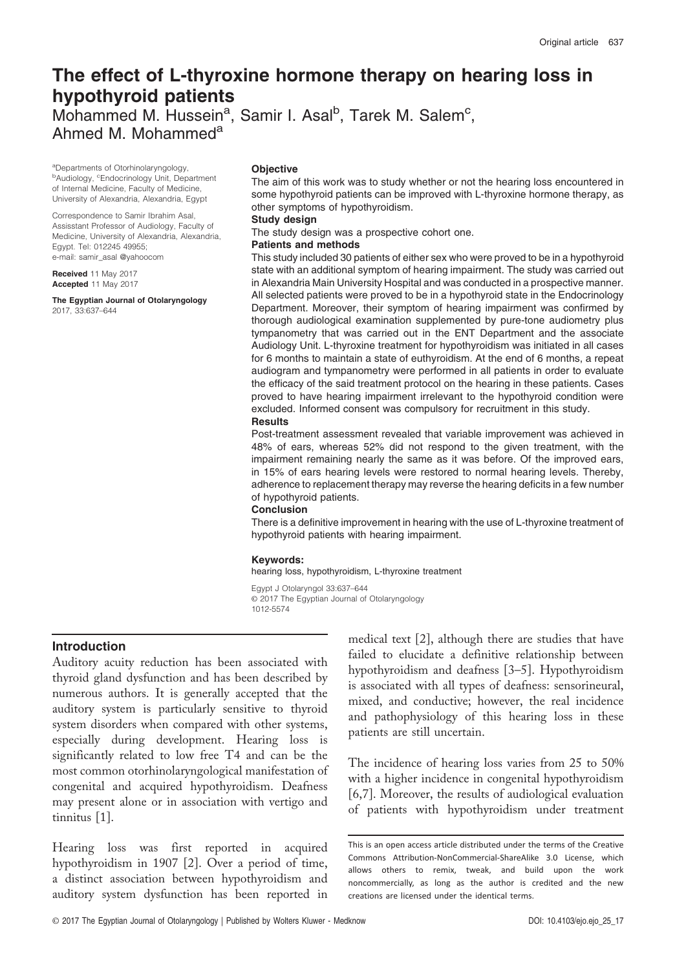# The effect of L-thyroxine hormone therapy on hearing loss in hypothyroid patients

Mohammed M. Hussein<sup>a</sup>, Samir I. Asal<sup>b</sup>, Tarek M. Salem<sup>c</sup>, Ahmed M. Mohammed<sup>a</sup>

aDepartments of Otorhinolaryngology, <sup>b</sup>Audiology, <sup>c</sup>Endocrinology Unit, Department of Internal Medicine, Faculty of Medicine, University of Alexandria, Alexandria, Egypt

Correspondence to Samir Ibrahim Asal, Assisstant Professor of Audiology, Faculty of Medicine, University of Alexandria, Alexandria, Egypt. Tel: 012245 49955; e-mail: [samir\\_asal @yahoocom](mailto:samir_asal @yahoocom)

Received 11 May 2017 Accepted 11 May 2017

The Egyptian Journal of Otolaryngology 2017, 33:637–644

# **Objective**

The aim of this work was to study whether or not the hearing loss encountered in some hypothyroid patients can be improved with L-thyroxine hormone therapy, as other symptoms of hypothyroidism.

#### Study design

The study design was a prospective cohort one.

#### Patients and methods

This study included 30 patients of either sex who were proved to be in a hypothyroid state with an additional symptom of hearing impairment. The study was carried out in Alexandria Main University Hospital and was conducted in a prospective manner. All selected patients were proved to be in a hypothyroid state in the Endocrinology Department. Moreover, their symptom of hearing impairment was confirmed by thorough audiological examination supplemented by pure-tone audiometry plus tympanometry that was carried out in the ENT Department and the associate Audiology Unit. L-thyroxine treatment for hypothyroidism was initiated in all cases for 6 months to maintain a state of euthyroidism. At the end of 6 months, a repeat audiogram and tympanometry were performed in all patients in order to evaluate the efficacy of the said treatment protocol on the hearing in these patients. Cases proved to have hearing impairment irrelevant to the hypothyroid condition were excluded. Informed consent was compulsory for recruitment in this study. **Results** 

Post-treatment assessment revealed that variable improvement was achieved in 48% of ears, whereas 52% did not respond to the given treatment, with the impairment remaining nearly the same as it was before. Of the improved ears, in 15% of ears hearing levels were restored to normal hearing levels. Thereby, adherence to replacement therapy may reverse the hearing deficits in a few number of hypothyroid patients.

#### Conclusion

There is a definitive improvement in hearing with the use of L-thyroxine treatment of hypothyroid patients with hearing impairment.

#### Keywords:

hearing loss, hypothyroidism, L-thyroxine treatment

Egypt J Otolaryngol 33:637–644 © 2017 The Egyptian Journal of Otolaryngology 1012-5574

# Introduction

Auditory acuity reduction has been associated with thyroid gland dysfunction and has been described by numerous authors. It is generally accepted that the auditory system is particularly sensitive to thyroid system disorders when compared with other systems, especially during development. Hearing loss is significantly related to low free T4 and can be the most common otorhinolaryngological manifestation of congenital and acquired hypothyroidism. Deafness may present alone or in association with vertigo and tinnitus [1].

Hearing loss was first reported in acquired hypothyroidism in 1907 [2]. Over a period of time, a distinct association between hypothyroidism and auditory system dysfunction has been reported in

medical text [2], although there are studies that have failed to elucidate a definitive relationship between hypothyroidism and deafness [3–5]. Hypothyroidism is associated with all types of deafness: sensorineural, mixed, and conductive; however, the real incidence and pathophysiology of this hearing loss in these patients are still uncertain.

The incidence of hearing loss varies from 25 to 50% with a higher incidence in congenital hypothyroidism [6,7]. Moreover, the results of audiological evaluation of patients with hypothyroidism under treatment

This is an open access article distributed under the terms of the Creative Commons Attribution-NonCommercial-ShareAlike 3.0 License, which allows others to remix, tweak, and build upon the work noncommercially, as long as the author is credited and the new creations are licensed under the identical terms.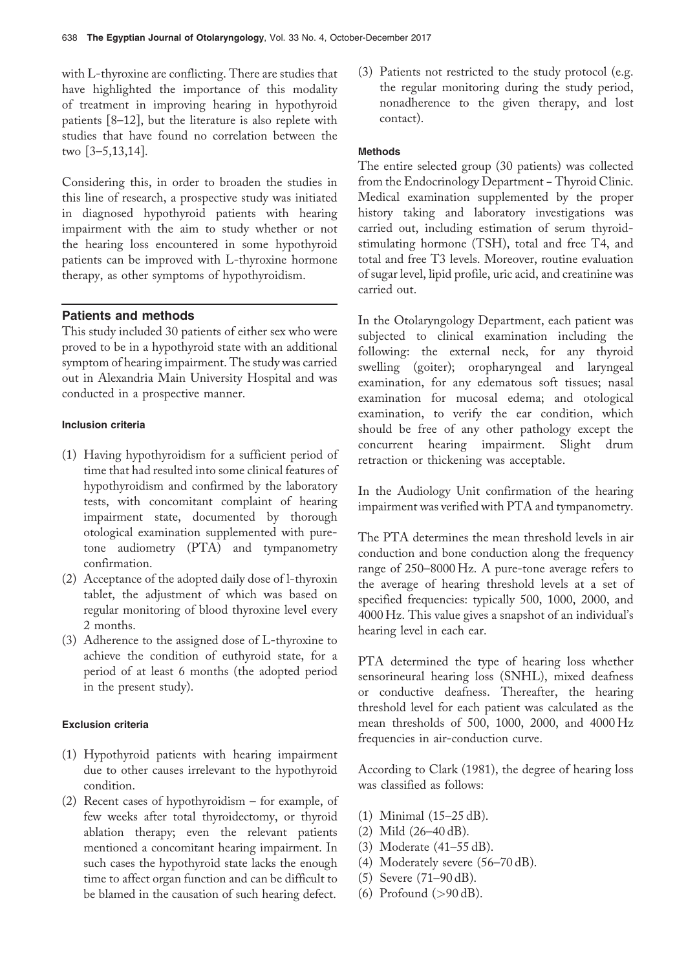with L-thyroxine are conflicting. There are studies that have highlighted the importance of this modality of treatment in improving hearing in hypothyroid patients [8–12], but the literature is also replete with studies that have found no correlation between the two [3–5,13,14].

Considering this, in order to broaden the studies in this line of research, a prospective study was initiated in diagnosed hypothyroid patients with hearing impairment with the aim to study whether or not the hearing loss encountered in some hypothyroid patients can be improved with L-thyroxine hormone therapy, as other symptoms of hypothyroidism.

# Patients and methods

This study included 30 patients of either sex who were proved to be in a hypothyroid state with an additional symptom of hearing impairment. The study was carried out in Alexandria Main University Hospital and was conducted in a prospective manner.

# Inclusion criteria

- (1) Having hypothyroidism for a sufficient period of time that had resulted into some clinical features of hypothyroidism and confirmed by the laboratory tests, with concomitant complaint of hearing impairment state, documented by thorough otological examination supplemented with puretone audiometry (PTA) and tympanometry confirmation.
- (2) Acceptance of the adopted daily dose of l-thyroxin tablet, the adjustment of which was based on regular monitoring of blood thyroxine level every 2 months.
- (3) Adherence to the assigned dose of L-thyroxine to achieve the condition of euthyroid state, for a period of at least 6 months (the adopted period in the present study).

# Exclusion criteria

- (1) Hypothyroid patients with hearing impairment due to other causes irrelevant to the hypothyroid condition.
- (2) Recent cases of hypothyroidism for example, of few weeks after total thyroidectomy, or thyroid ablation therapy; even the relevant patients mentioned a concomitant hearing impairment. In such cases the hypothyroid state lacks the enough time to affect organ function and can be difficult to be blamed in the causation of such hearing defect.

(3) Patients not restricted to the study protocol (e.g. the regular monitoring during the study period, nonadherence to the given therapy, and lost contact).

## Methods

The entire selected group (30 patients) was collected from the Endocrinology Department - Thyroid Clinic. Medical examination supplemented by the proper history taking and laboratory investigations was carried out, including estimation of serum thyroidstimulating hormone (TSH), total and free T4, and total and free T3 levels. Moreover, routine evaluation of sugar level, lipid profile, uric acid, and creatinine was carried out.

In the Otolaryngology Department, each patient was subjected to clinical examination including the following: the external neck, for any thyroid swelling (goiter); oropharyngeal and laryngeal examination, for any edematous soft tissues; nasal examination for mucosal edema; and otological examination, to verify the ear condition, which should be free of any other pathology except the concurrent hearing impairment. Slight drum retraction or thickening was acceptable.

In the Audiology Unit confirmation of the hearing impairment was verified with PTA and tympanometry.

The PTA determines the mean threshold levels in air conduction and bone conduction along the frequency range of 250–8000 Hz. A pure-tone average refers to the average of hearing threshold levels at a set of specified frequencies: typically 500, 1000, 2000, and 4000 Hz. This value gives a snapshot of an individual's hearing level in each ear.

PTA determined the type of hearing loss whether sensorineural hearing loss (SNHL), mixed deafness or conductive deafness. Thereafter, the hearing threshold level for each patient was calculated as the mean thresholds of 500, 1000, 2000, and 4000 Hz frequencies in air-conduction curve.

According to Clark (1981), the degree of hearing loss was classified as follows:

- (1) Minimal (15–25 dB).
- (2) Mild (26–40 dB).
- (3) Moderate (41–55 dB).
- (4) Moderately severe (56–70 dB).
- (5) Severe (71–90 dB).
- (6) Profound  $(>90 \text{ dB})$ .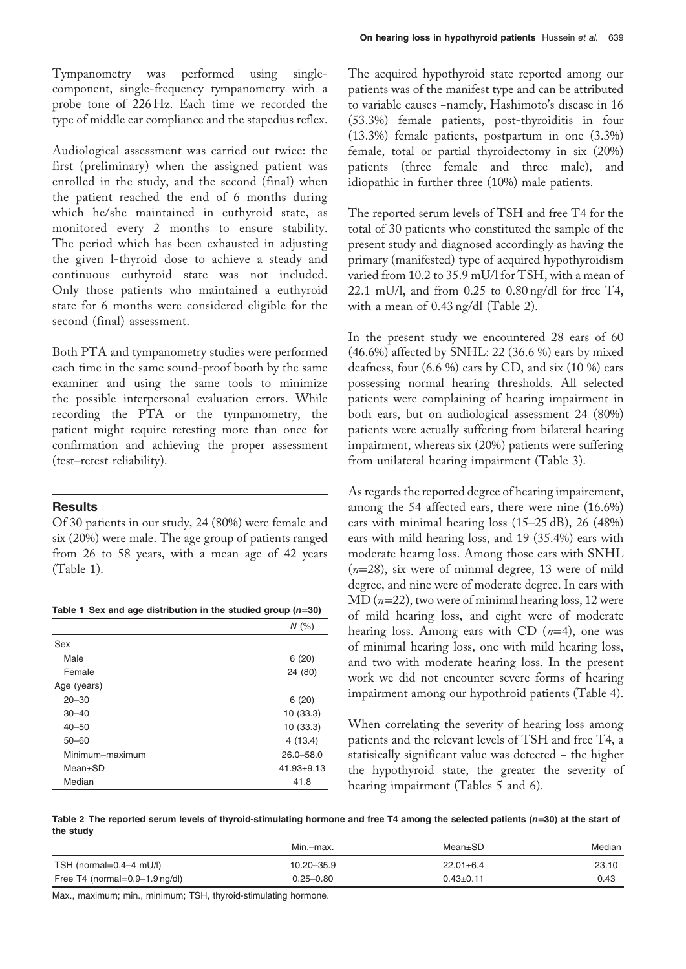Tympanometry was performed using singlecomponent, single-frequency tympanometry with a probe tone of 226 Hz. Each time we recorded the type of middle ear compliance and the stapedius reflex.

Audiological assessment was carried out twice: the first (preliminary) when the assigned patient was enrolled in the study, and the second (final) when the patient reached the end of 6 months during which he/she maintained in euthyroid state, as monitored every 2 months to ensure stability. The period which has been exhausted in adjusting the given l-thyroid dose to achieve a steady and continuous euthyroid state was not included. Only those patients who maintained a euthyroid state for 6 months were considered eligible for the second (final) assessment.

Both PTA and tympanometry studies were performed each time in the same sound-proof booth by the same examiner and using the same tools to minimize the possible interpersonal evaluation errors. While recording the PTA or the tympanometry, the patient might require retesting more than once for confirmation and achieving the proper assessment (test–retest reliability).

## **Results**

Of 30 patients in our study, 24 (80%) were female and six (20%) were male. The age group of patients ranged from 26 to 58 years, with a mean age of 42 years (Table 1).

|  |  |  | Table 1 Sex and age distribution in the studied group ( $n=30$ ) |  |  |  |  |
|--|--|--|------------------------------------------------------------------|--|--|--|--|
|--|--|--|------------------------------------------------------------------|--|--|--|--|

|                 | $N$ (%)          |
|-----------------|------------------|
| Sex             |                  |
| Male            | 6(20)            |
| Female          | 24 (80)          |
| Age (years)     |                  |
| $20 - 30$       | 6(20)            |
| $30 - 40$       | 10 (33.3)        |
| $40 - 50$       | 10 (33.3)        |
| $50 - 60$       | 4(13.4)          |
| Minimum-maximum | $26.0 - 58.0$    |
| $Mean \pm SD$   | $41.93 \pm 9.13$ |
| Median          | 41.8             |

The acquired hypothyroid state reported among our patients was of the manifest type and can be attributed to variable causes −namely, Hashimoto's disease in 16 (53.3%) female patients, post-thyroiditis in four (13.3%) female patients, postpartum in one (3.3%) female, total or partial thyroidectomy in six (20%) patients (three female and three male), and idiopathic in further three (10%) male patients.

The reported serum levels of TSH and free T4 for the total of 30 patients who constituted the sample of the present study and diagnosed accordingly as having the primary (manifested) type of acquired hypothyroidism varied from 10.2 to 35.9 mU/l for TSH, with a mean of 22.1 mU/l, and from 0.25 to 0.80 ng/dl for free T4, with a mean of 0.43 ng/dl (Table 2).

In the present study we encountered 28 ears of 60 (46.6%) affected by SNHL: 22 (36.6 %) ears by mixed deafness, four (6.6 %) ears by CD, and six (10 %) ears possessing normal hearing thresholds. All selected patients were complaining of hearing impairment in both ears, but on audiological assessment 24 (80%) patients were actually suffering from bilateral hearing impairment, whereas six (20%) patients were suffering from unilateral hearing impairment (Table 3).

As regards the reported degree of hearing impairement, among the 54 affected ears, there were nine (16.6%) ears with minimal hearing loss (15–25 dB), 26 (48%) ears with mild hearing loss, and 19 (35.4%) ears with moderate hearng loss. Among those ears with SNHL  $(n=28)$ , six were of minmal degree, 13 were of mild degree, and nine were of moderate degree. In ears with  $MD (n=22)$ , two were of minimal hearing loss, 12 were of mild hearing loss, and eight were of moderate hearing loss. Among ears with CD  $(n=4)$ , one was of minimal hearing loss, one with mild hearing loss, and two with moderate hearing loss. In the present work we did not encounter severe forms of hearing impairment among our hypothroid patients (Table 4).

When correlating the severity of hearing loss among patients and the relevant levels of TSH and free T4, a statisically significant value was detected − the higher the hypothyroid state, the greater the severity of hearing impairment (Tables 5 and 6).

Table 2 The reported serum levels of thyroid-stimulating hormone and free T4 among the selected patients  $(n=30)$  at the start of the study

|                                   | Min.-max.      | Mean±SD         | Median |
|-----------------------------------|----------------|-----------------|--------|
| TSH (normal=0.4-4 mU/l)           | $10.20 - 35.9$ | $22.01 \pm 6.4$ | 23.10  |
| Free T4 (normal= $0.9-1.9$ ng/dl) | $0.25 - 0.80$  | $0.43 \pm 0.11$ | 0.43   |

Max., maximum; min., minimum; TSH, thyroid-stimulating hormone.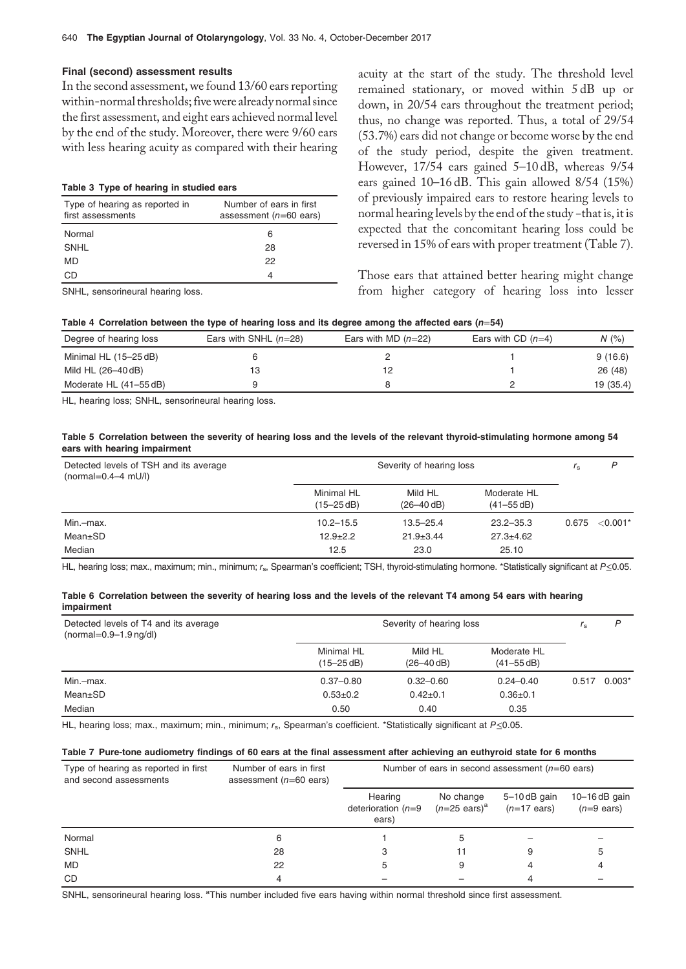### Final (second) assessment results

In the second assessment, we found 13/60 ears reporting within-normal thresholds; fivewere already normal since the first assessment, and eight ears achieved normal level by the end of the study. Moreover, there were 9/60 ears with less hearing acuity as compared with their hearing

#### Table 3 Type of hearing in studied ears

| Type of hearing as reported in<br>first assessments | Number of ears in first<br>assessment ( $n=60$ ears) |
|-----------------------------------------------------|------------------------------------------------------|
| Normal                                              | 6                                                    |
| SNHL                                                | 28                                                   |
| MD                                                  | 22                                                   |
| GP.                                                 | 4                                                    |

SNHL, sensorineural hearing loss.

acuity at the start of the study. The threshold level remained stationary, or moved within 5 dB up or down, in 20/54 ears throughout the treatment period; thus, no change was reported. Thus, a total of 29/54 (53.7%) ears did not change or become worse by the end of the study period, despite the given treatment. However, 17/54 ears gained 5–10 dB, whereas 9/54 ears gained 10–16 dB. This gain allowed 8/54 (15%) of previously impaired ears to restore hearing levels to normal hearing levels by the end of the study −that is, it is expected that the concomitant hearing loss could be reversed in 15% of ears with proper treatment (Table 7).

Those ears that attained better hearing might change from higher category of hearing loss into lesser

|  |  |  |  | Table 4 Correlation between the type of hearing loss and its degree among the affected ears ( $n=54$ ) |  |
|--|--|--|--|--------------------------------------------------------------------------------------------------------|--|
|  |  |  |  |                                                                                                        |  |

| Degree of hearing loss | Ears with SNHL $(n=28)$ | Ears with MD $(n=22)$ | Ears with CD $(n=4)$ | N(%       |
|------------------------|-------------------------|-----------------------|----------------------|-----------|
| Minimal HL (15-25 dB)  |                         |                       |                      | 9(16.6)   |
| Mild HL (26–40 dB)     |                         |                       |                      | 26(48)    |
| Moderate HL (41–55 dB) |                         |                       |                      | 19 (35.4) |

HL, hearing loss; SNHL, sensorineural hearing loss.

#### Table 5 Correlation between the severity of hearing loss and the levels of the relevant thyroid-stimulating hormone among 54 ears with hearing impairment

| Detected levels of TSH and its average<br>(normal= $0.4-4$ mU/l) | Severity of hearing loss     | r <sub>s</sub>               | P                             |       |            |
|------------------------------------------------------------------|------------------------------|------------------------------|-------------------------------|-------|------------|
|                                                                  | Minimal HL<br>$(15 - 25$ dB) | Mild HL<br>$(26 - 40 \, dB)$ | Moderate HL<br>$(41 - 55$ dB) |       |            |
| Min.-max.                                                        | $10.2 - 15.5$                | $13.5 - 25.4$                | $23.2 - 35.3$                 | 0.675 | $< 0.001*$ |
| Mean±SD                                                          | $12.9 + 2.2$                 | $21.9 \pm 3.44$              | $27.3 \pm 4.62$               |       |            |
| Median                                                           | 12.5                         | 23.0                         | 25.10                         |       |            |

HL, hearing loss; max., maximum; min., minimum; rs, Spearman's coefficient; TSH, thyroid-stimulating hormone. \*Statistically significant at P≤0.05.

#### Table 6 Correlation between the severity of hearing loss and the levels of the relevant T4 among 54 ears with hearing impairment

| Detected levels of T4 and its average<br>$(normal=0.9-1.9 \text{ ng/dl})$ |                              | Severity of hearing loss  |                               |       |          |  |
|---------------------------------------------------------------------------|------------------------------|---------------------------|-------------------------------|-------|----------|--|
|                                                                           | Minimal HL<br>$(15 - 25$ dB) | Mild HL<br>$(26 - 40$ dB) | Moderate HL<br>$(41 - 55 dB)$ |       |          |  |
| Min.-max.                                                                 | $0.37 - 0.80$                | $0.32 - 0.60$             | $0.24 - 0.40$                 | 0.517 | $0.003*$ |  |
| Mean±SD                                                                   | $0.53 + 0.2$                 | $0.42 \pm 0.1$            | $0.36 + 0.1$                  |       |          |  |
| Median                                                                    | 0.50                         | 0.40                      | 0.35                          |       |          |  |

HL, hearing loss; max., maximum; min., minimum; r<sub>s</sub>, Spearman's coefficient. \*Statistically significant at P≤0.05.

#### Table 7 Pure-tone audiometry findings of 60 ears at the final assessment after achieving an euthyroid state for 6 months

| Type of hearing as reported in first<br>and second assessments | Number of ears in first<br>assessment $(n=60$ ears) | Number of ears in second assessment $(n=60$ ears) |                                      |                                      |                                         |
|----------------------------------------------------------------|-----------------------------------------------------|---------------------------------------------------|--------------------------------------|--------------------------------------|-----------------------------------------|
|                                                                |                                                     | Hearing<br>deterioration $(n=9)$<br>ears)         | No change<br>$(n=25 \text{ ears})^a$ | 5-10dB gain<br>$(n=17 \text{ ears})$ | $10-16$ dB gain<br>$(n=9 \text{ ears})$ |
| Normal                                                         | 6                                                   |                                                   | 5                                    |                                      |                                         |
| <b>SNHL</b>                                                    | 28                                                  |                                                   | 11                                   | 9                                    | 5                                       |
| <b>MD</b>                                                      | 22                                                  |                                                   | 9                                    |                                      |                                         |
| <b>CD</b>                                                      |                                                     |                                                   |                                      |                                      |                                         |

SNHL, sensorineural hearing loss. <sup>a</sup>This number included five ears having within normal threshold since first assessment.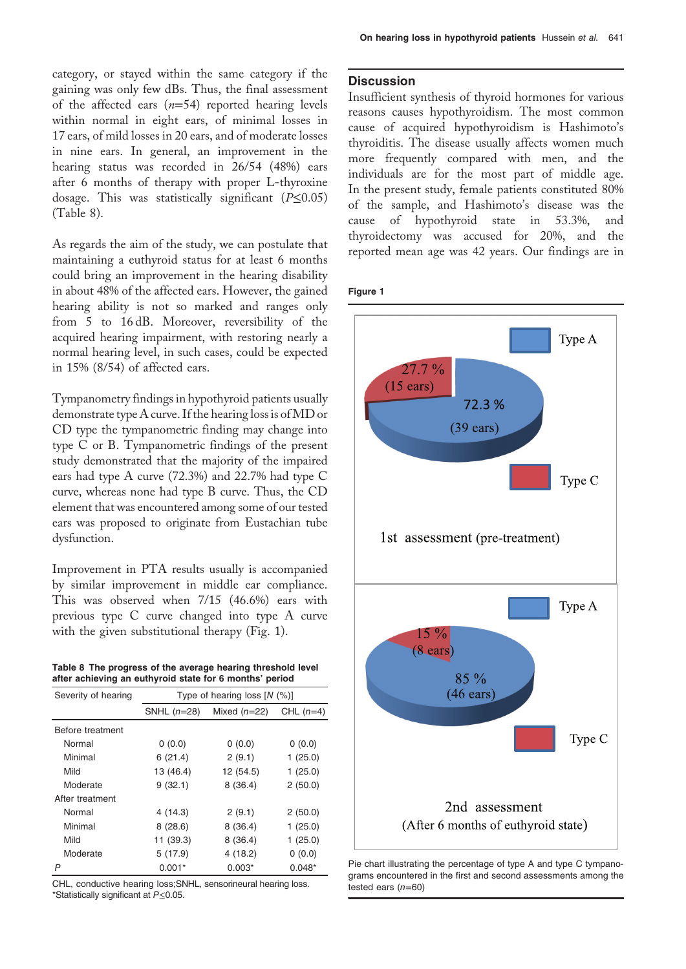category, or stayed within the same category if the gaining was only few dBs. Thus, the final assessment of the affected ears  $(n=54)$  reported hearing levels within normal in eight ears, of minimal losses in 17 ears, of mild losses in 20 ears, and of moderate losses in nine ears. In general, an improvement in the hearing status was recorded in 26/54 (48%) ears after 6 months of therapy with proper L-thyroxine dosage. This was statistically significant  $(P \le 0.05)$ (Table 8).

As regards the aim of the study, we can postulate that maintaining a euthyroid status for at least 6 months could bring an improvement in the hearing disability in about 48% of the affected ears. However, the gained hearing ability is not so marked and ranges only from 5 to 16 dB. Moreover, reversibility of the acquired hearing impairment, with restoring nearly a normal hearing level, in such cases, could be expected in 15% (8/54) of affected ears.

Tympanometry findings in hypothyroid patients usually demonstrate type A curve. If the hearing loss is ofMD or CD type the tympanometric finding may change into type C or B. Tympanometric findings of the present study demonstrated that the majority of the impaired ears had type A curve (72.3%) and 22.7% had type C curve, whereas none had type B curve. Thus, the CD element that was encountered among some of our tested ears was proposed to originate from Eustachian tube dysfunction.

Improvement in PTA results usually is accompanied by similar improvement in middle ear compliance. This was observed when 7/15 (46.6%) ears with previous type C curve changed into type A curve with the given substitutional therapy (Fig. 1).

Table 8 The progress of the average hearing threshold level after achieving an euthyroid state for 6 months' period

| Severity of hearing | Type of hearing loss $[N (%)]$ |                |             |  |  |  |  |
|---------------------|--------------------------------|----------------|-------------|--|--|--|--|
|                     | SNHL $(n=28)$                  | Mixed $(n=22)$ | CHL $(n=4)$ |  |  |  |  |
| Before treatment    |                                |                |             |  |  |  |  |
| Normal              | 0(0.0)                         | 0(0.0)         | 0(0.0)      |  |  |  |  |
| Minimal             | 6(21.4)                        | 2(9.1)         | 1(25.0)     |  |  |  |  |
| Mild                | 13 (46.4)                      | 12 (54.5)      | 1(25.0)     |  |  |  |  |
| Moderate            | 9(32.1)                        | 8(36.4)        | 2(50.0)     |  |  |  |  |
| After treatment     |                                |                |             |  |  |  |  |
| Normal              | 4 (14.3)                       | 2(9.1)         | 2(50.0)     |  |  |  |  |
| Minimal             | 8(28.6)                        | 8(36.4)        | 1(25.0)     |  |  |  |  |
| Mild                | 11 (39.3)                      | 8(36.4)        | 1(25.0)     |  |  |  |  |
| Moderate            | 5(17.9)                        | 4(18.2)        | 0(0.0)      |  |  |  |  |
| P                   | $0.001*$                       | $0.003*$       | $0.048*$    |  |  |  |  |

CHL, conductive hearing loss;SNHL, sensorineural hearing loss. \*Statistically significant at P≤0.05.

# **Discussion**

Insufficient synthesis of thyroid hormones for various reasons causes hypothyroidism. The most common cause of acquired hypothyroidism is Hashimoto's thyroiditis. The disease usually affects women much more frequently compared with men, and the individuals are for the most part of middle age. In the present study, female patients constituted 80% of the sample, and Hashimoto's disease was the cause of hypothyroid state in 53.3%, and thyroidectomy was accused for 20%, and the reported mean age was 42 years. Our findings are in

# Figure 1



Pie chart illustrating the percentage of type A and type C tympanograms encountered in the first and second assessments among the tested ears  $(n=60)$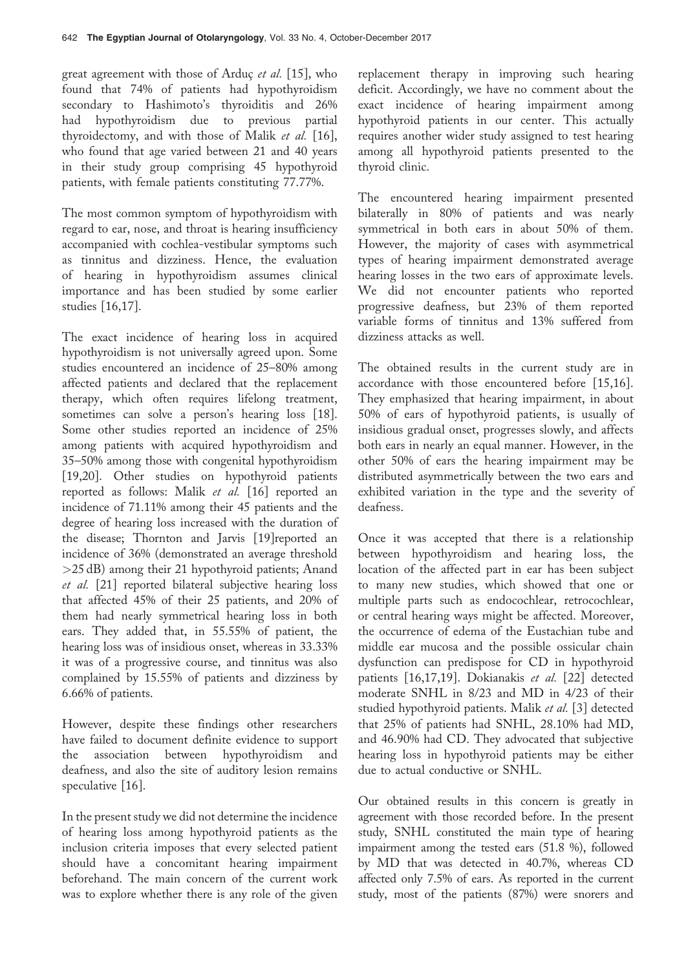great agreement with those of Arduç et al. [15], who found that 74% of patients had hypothyroidism secondary to Hashimoto's thyroiditis and 26% had hypothyroidism due to previous partial thyroidectomy, and with those of Malik et al. [16], who found that age varied between 21 and 40 years in their study group comprising 45 hypothyroid patients, with female patients constituting 77.77%.

The most common symptom of hypothyroidism with regard to ear, nose, and throat is hearing insufficiency accompanied with cochlea-vestibular symptoms such as tinnitus and dizziness. Hence, the evaluation of hearing in hypothyroidism assumes clinical importance and has been studied by some earlier studies [16,17].

The exact incidence of hearing loss in acquired hypothyroidism is not universally agreed upon. Some studies encountered an incidence of 25–80% among affected patients and declared that the replacement therapy, which often requires lifelong treatment, sometimes can solve a person's hearing loss [18]. Some other studies reported an incidence of 25% among patients with acquired hypothyroidism and 35–50% among those with congenital hypothyroidism [19,20]. Other studies on hypothyroid patients reported as follows: Malik et al. [16] reported an incidence of 71.11% among their 45 patients and the degree of hearing loss increased with the duration of the disease; Thornton and Jarvis [19]reported an incidence of 36% (demonstrated an average threshold >25 dB) among their 21 hypothyroid patients; Anand et al. [21] reported bilateral subjective hearing loss that affected 45% of their 25 patients, and 20% of them had nearly symmetrical hearing loss in both ears. They added that, in 55.55% of patient, the hearing loss was of insidious onset, whereas in 33.33% it was of a progressive course, and tinnitus was also complained by 15.55% of patients and dizziness by 6.66% of patients.

However, despite these findings other researchers have failed to document definite evidence to support the association between hypothyroidism and deafness, and also the site of auditory lesion remains speculative [16].

In the present study we did not determine the incidence of hearing loss among hypothyroid patients as the inclusion criteria imposes that every selected patient should have a concomitant hearing impairment beforehand. The main concern of the current work was to explore whether there is any role of the given replacement therapy in improving such hearing deficit. Accordingly, we have no comment about the exact incidence of hearing impairment among hypothyroid patients in our center. This actually requires another wider study assigned to test hearing among all hypothyroid patients presented to the thyroid clinic.

The encountered hearing impairment presented bilaterally in 80% of patients and was nearly symmetrical in both ears in about 50% of them. However, the majority of cases with asymmetrical types of hearing impairment demonstrated average hearing losses in the two ears of approximate levels. We did not encounter patients who reported progressive deafness, but 23% of them reported variable forms of tinnitus and 13% suffered from dizziness attacks as well.

The obtained results in the current study are in accordance with those encountered before [15,16]. They emphasized that hearing impairment, in about 50% of ears of hypothyroid patients, is usually of insidious gradual onset, progresses slowly, and affects both ears in nearly an equal manner. However, in the other 50% of ears the hearing impairment may be distributed asymmetrically between the two ears and exhibited variation in the type and the severity of deafness.

Once it was accepted that there is a relationship between hypothyroidism and hearing loss, the location of the affected part in ear has been subject to many new studies, which showed that one or multiple parts such as endocochlear, retrocochlear, or central hearing ways might be affected. Moreover, the occurrence of edema of the Eustachian tube and middle ear mucosa and the possible ossicular chain dysfunction can predispose for CD in hypothyroid patients [16,17,19]. Dokianakis et al. [22] detected moderate SNHL in 8/23 and MD in 4/23 of their studied hypothyroid patients. Malik et al. [3] detected that 25% of patients had SNHL, 28.10% had MD, and 46.90% had CD. They advocated that subjective hearing loss in hypothyroid patients may be either due to actual conductive or SNHL.

Our obtained results in this concern is greatly in agreement with those recorded before. In the present study, SNHL constituted the main type of hearing impairment among the tested ears (51.8 %), followed by MD that was detected in 40.7%, whereas CD affected only 7.5% of ears. As reported in the current study, most of the patients (87%) were snorers and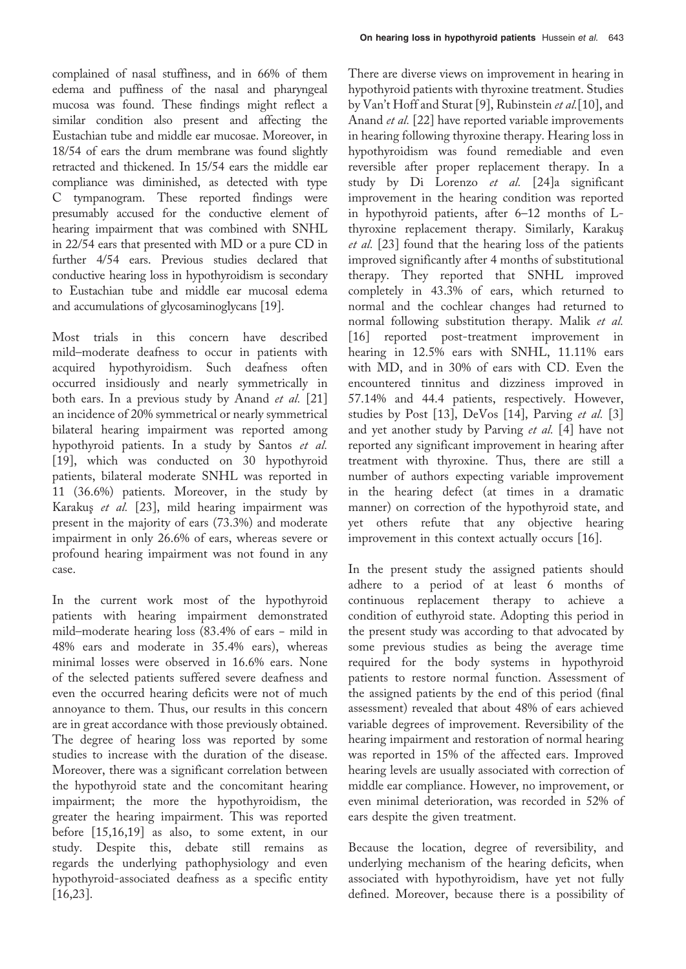complained of nasal stuffiness, and in 66% of them edema and puffiness of the nasal and pharyngeal mucosa was found. These findings might reflect a similar condition also present and affecting the Eustachian tube and middle ear mucosae. Moreover, in 18/54 of ears the drum membrane was found slightly retracted and thickened. In 15/54 ears the middle ear compliance was diminished, as detected with type C tympanogram. These reported findings were presumably accused for the conductive element of hearing impairment that was combined with SNHL in 22/54 ears that presented with MD or a pure CD in further 4/54 ears. Previous studies declared that conductive hearing loss in hypothyroidism is secondary to Eustachian tube and middle ear mucosal edema and accumulations of glycosaminoglycans [19].

Most trials in this concern have described mild–moderate deafness to occur in patients with acquired hypothyroidism. Such deafness often occurred insidiously and nearly symmetrically in both ears. In a previous study by Anand et al. [21] an incidence of 20% symmetrical or nearly symmetrical bilateral hearing impairment was reported among hypothyroid patients. In a study by Santos et al. [19], which was conducted on 30 hypothyroid patients, bilateral moderate SNHL was reported in 11 (36.6%) patients. Moreover, in the study by Karakuş et al. [23], mild hearing impairment was present in the majority of ears (73.3%) and moderate impairment in only 26.6% of ears, whereas severe or profound hearing impairment was not found in any case.

In the current work most of the hypothyroid patients with hearing impairment demonstrated mild–moderate hearing loss (83.4% of ears − mild in 48% ears and moderate in 35.4% ears), whereas minimal losses were observed in 16.6% ears. None of the selected patients suffered severe deafness and even the occurred hearing deficits were not of much annoyance to them. Thus, our results in this concern are in great accordance with those previously obtained. The degree of hearing loss was reported by some studies to increase with the duration of the disease. Moreover, there was a significant correlation between the hypothyroid state and the concomitant hearing impairment; the more the hypothyroidism, the greater the hearing impairment. This was reported before [15,16,19] as also, to some extent, in our study. Despite this, debate still remains as regards the underlying pathophysiology and even hypothyroid-associated deafness as a specific entity [16,23].

There are diverse views on improvement in hearing in hypothyroid patients with thyroxine treatment. Studies by Van't Hoff and Sturat [9], Rubinstein et al.[10], and Anand et al. [22] have reported variable improvements in hearing following thyroxine therapy. Hearing loss in hypothyroidism was found remediable and even reversible after proper replacement therapy. In a study by Di Lorenzo et al. [24]a significant improvement in the hearing condition was reported in hypothyroid patients, after 6–12 months of Lthyroxine replacement therapy. Similarly, Karakuş et al. [23] found that the hearing loss of the patients improved significantly after 4 months of substitutional therapy. They reported that SNHL improved completely in 43.3% of ears, which returned to normal and the cochlear changes had returned to normal following substitution therapy. Malik et al. [16] reported post-treatment improvement in hearing in 12.5% ears with SNHL, 11.11% ears with MD, and in 30% of ears with CD. Even the encountered tinnitus and dizziness improved in 57.14% and 44.4 patients, respectively. However, studies by Post [13], DeVos [14], Parving et al. [3] and yet another study by Parving et al. [4] have not reported any significant improvement in hearing after treatment with thyroxine. Thus, there are still a number of authors expecting variable improvement in the hearing defect (at times in a dramatic manner) on correction of the hypothyroid state, and yet others refute that any objective hearing improvement in this context actually occurs [16].

In the present study the assigned patients should adhere to a period of at least 6 months of continuous replacement therapy to achieve a condition of euthyroid state. Adopting this period in the present study was according to that advocated by some previous studies as being the average time required for the body systems in hypothyroid patients to restore normal function. Assessment of the assigned patients by the end of this period (final assessment) revealed that about 48% of ears achieved variable degrees of improvement. Reversibility of the hearing impairment and restoration of normal hearing was reported in 15% of the affected ears. Improved hearing levels are usually associated with correction of middle ear compliance. However, no improvement, or even minimal deterioration, was recorded in 52% of ears despite the given treatment.

Because the location, degree of reversibility, and underlying mechanism of the hearing deficits, when associated with hypothyroidism, have yet not fully defined. Moreover, because there is a possibility of